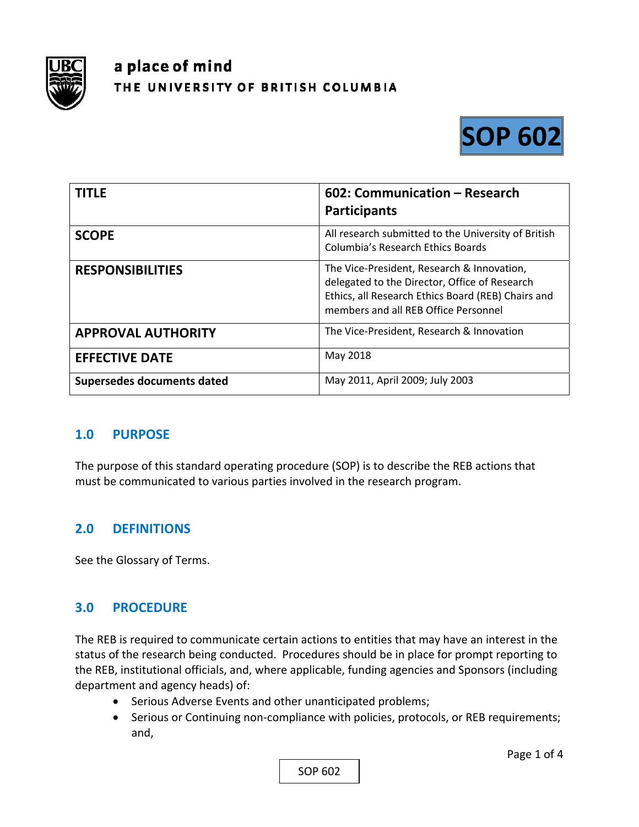

# a place of mind THE UNIVERSITY OF BRITISH COLUMBIA



| <b>TITLE</b>               | 602: Communication - Research<br><b>Participants</b>                                                                                                                                      |
|----------------------------|-------------------------------------------------------------------------------------------------------------------------------------------------------------------------------------------|
| <b>SCOPE</b>               | All research submitted to the University of British<br>Columbia's Research Ethics Boards                                                                                                  |
| <b>RESPONSIBILITIES</b>    | The Vice-President, Research & Innovation,<br>delegated to the Director, Office of Research<br>Ethics, all Research Ethics Board (REB) Chairs and<br>members and all REB Office Personnel |
| <b>APPROVAL AUTHORITY</b>  | The Vice-President, Research & Innovation                                                                                                                                                 |
| <b>EFFECTIVE DATE</b>      | May 2018                                                                                                                                                                                  |
| Supersedes documents dated | May 2011, April 2009; July 2003                                                                                                                                                           |

### **1.0 PURPOSE**

The purpose of this standard operating procedure (SOP) is to describe the REB actions that must be communicated to various parties involved in the research program.

### **2.0 DEFINITIONS**

See the Glossary of Terms.

### **3.0 PROCEDURE**

The REB is required to communicate certain actions to entities that may have an interest in the status of the research being conducted. Procedures should be in place for prompt reporting to the REB, institutional officials, and, where applicable, funding agencies and Sponsors (including department and agency heads) of:

- Serious Adverse Events and other unanticipated problems;
- Serious or Continuing non-compliance with policies, protocols, or REB requirements; and,

SOP 602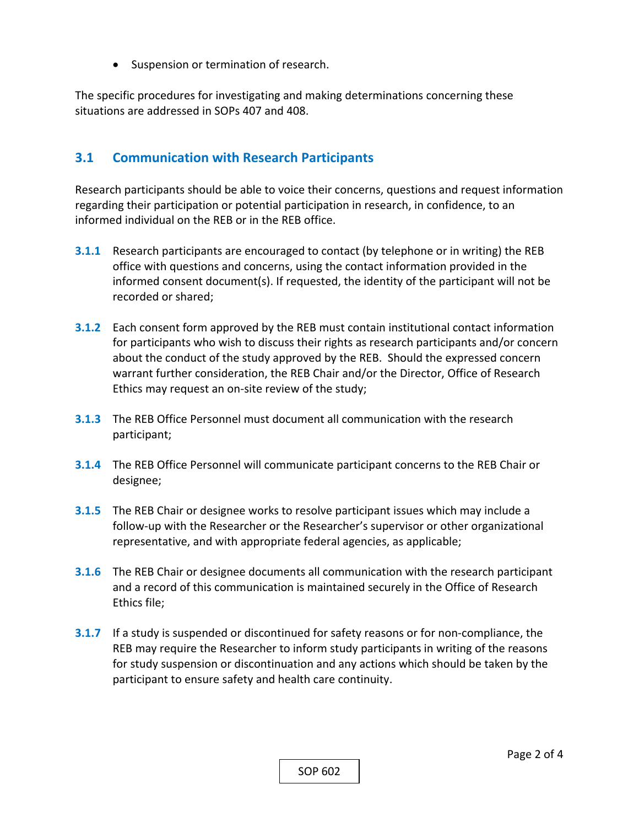• Suspension or termination of research.

The specific procedures for investigating and making determinations concerning these situations are addressed in SOPs 407 and 408.

## **3.1 Communication with Research Participants**

Research participants should be able to voice their concerns, questions and request information regarding their participation or potential participation in research, in confidence, to an informed individual on the REB or in the REB office.

- **3.1.1** Research participants are encouraged to contact (by telephone or in writing) the REB office with questions and concerns, using the contact information provided in the informed consent document(s). If requested, the identity of the participant will not be recorded or shared;
- **3.1.2** Each consent form approved by the REB must contain institutional contact information for participants who wish to discuss their rights as research participants and/or concern about the conduct of the study approved by the REB. Should the expressed concern warrant further consideration, the REB Chair and/or the Director, Office of Research Ethics may request an on‐site review of the study;
- **3.1.3**  The REB Office Personnel must document all communication with the research participant;
- **3.1.4**  The REB Office Personnel will communicate participant concerns to the REB Chair or designee;
- **3.1.5**  The REB Chair or designee works to resolve participant issues which may include a follow-up with the Researcher or the Researcher's supervisor or other organizational representative, and with appropriate federal agencies, as applicable;
- **3.1.6**  The REB Chair or designee documents all communication with the research participant and a record of this communication is maintained securely in the Office of Research Ethics file;
- **3.1.7** If a study is suspended or discontinued for safety reasons or for non-compliance, the REB may require the Researcher to inform study participants in writing of the reasons for study suspension or discontinuation and any actions which should be taken by the participant to ensure safety and health care continuity.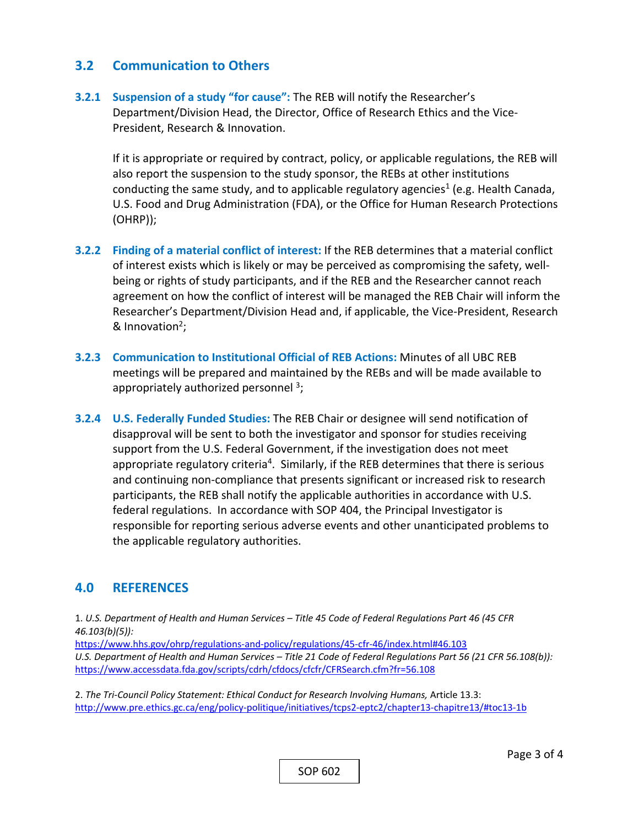#### **3.2 Communication to Others**

**3.2.1 Suspension of a study "for cause":** The REB will notify the Researcher's Department/Division Head, the Director, Office of Research Ethics and the Vice‐ President, Research & Innovation.

 If it is appropriate or required by contract, policy, or applicable regulations, the REB will also report the suspension to the study sponsor, the REBs at other institutions conducting the same study, and to applicable regulatory agencies<sup>1</sup> (e.g. Health Canada, U.S. Food and Drug Administration (FDA), or the Office for Human Research Protections (OHRP));

- **3.2.2 Finding of a material conflict of interest:** If the REB determines that a material conflict of interest exists which is likely or may be perceived as compromising the safety, well‐ being or rights of study participants, and if the REB and the Researcher cannot reach agreement on how the conflict of interest will be managed the REB Chair will inform the Researcher's Department/Division Head and, if applicable, the Vice‐President, Research & Innovation $2$ ;
- **3.2.3 Communication to Institutional Official of REB Actions:** Minutes of all UBC REB meetings will be prepared and maintained by the REBs and will be made available to appropriately authorized personnel  $3$ ;
- **3.2.4 U.S. Federally Funded Studies:** The REB Chair or designee will send notification of disapproval will be sent to both the investigator and sponsor for studies receiving support from the U.S. Federal Government, if the investigation does not meet appropriate regulatory criteria<sup>4</sup>. Similarly, if the REB determines that there is serious and continuing non‐compliance that presents significant or increased risk to research participants, the REB shall notify the applicable authorities in accordance with U.S. federal regulations. In accordance with SOP 404, the Principal Investigator is responsible for reporting serious adverse events and other unanticipated problems to the applicable regulatory authorities.

### **4.0 REFERENCES**

1. *U.S. Department of Health and Human Services – Title 45 Code of Federal Regulations Part 46 (45 CFR 46.103(b)(5)):* 

https://www.hhs.gov/ohrp/regulations‐and‐policy/regulations/45‐cfr‐46/index.html#46.103 *U.S. Department of Health and Human Services – Title 21 Code of Federal Regulations Part 56 (21 CFR 56.108(b)):*  https://www.accessdata.fda.gov/scripts/cdrh/cfdocs/cfcfr/CFRSearch.cfm?fr=56.108

2. *The Tri‐Council Policy Statement: Ethical Conduct for Research Involving Humans,* Article 13.3: http://www.pre.ethics.gc.ca/eng/policy‐politique/initiatives/tcps2‐eptc2/chapter13‐chapitre13/#toc13‐1b